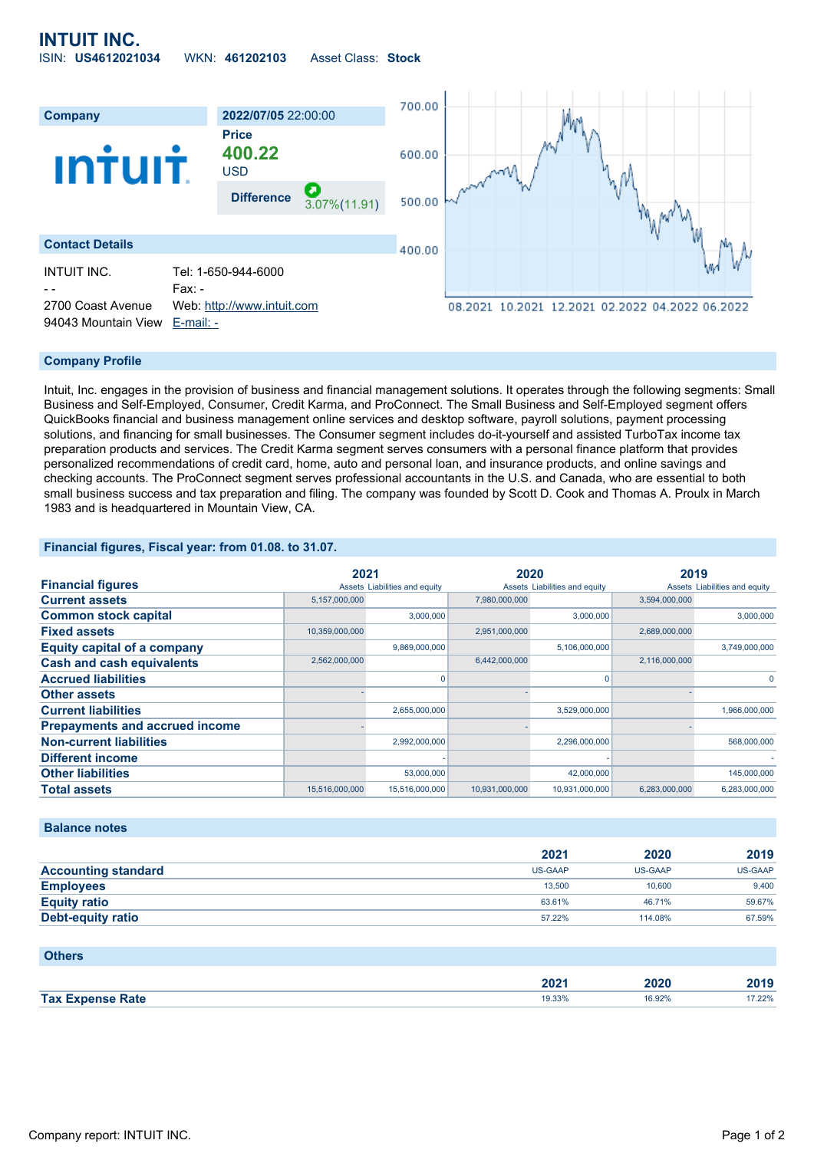# **INTUIT INC.** ISIN: **US4612021034** WKN: **461202103** Asset Class: **Stock**



#### **Company Profile**

Intuit, Inc. engages in the provision of business and financial management solutions. It operates through the following segments: Small Business and Self-Employed, Consumer, Credit Karma, and ProConnect. The Small Business and Self-Employed segment offers QuickBooks financial and business management online services and desktop software, payroll solutions, payment processing solutions, and financing for small businesses. The Consumer segment includes do-it-yourself and assisted TurboTax income tax preparation products and services. The Credit Karma segment serves consumers with a personal finance platform that provides personalized recommendations of credit card, home, auto and personal loan, and insurance products, and online savings and checking accounts. The ProConnect segment serves professional accountants in the U.S. and Canada, who are essential to both small business success and tax preparation and filing. The company was founded by Scott D. Cook and Thomas A. Proulx in March 1983 and is headquartered in Mountain View, CA.

## **Financial figures, Fiscal year: from 01.08. to 31.07.**

|                                       | 2021           |                               | 2020           |                               | 2019          |                               |
|---------------------------------------|----------------|-------------------------------|----------------|-------------------------------|---------------|-------------------------------|
| <b>Financial figures</b>              |                | Assets Liabilities and equity |                | Assets Liabilities and equity |               | Assets Liabilities and equity |
| <b>Current assets</b>                 | 5,157,000,000  |                               | 7,980,000,000  |                               | 3.594.000.000 |                               |
| <b>Common stock capital</b>           |                | 3.000.000                     |                | 3,000,000                     |               | 3.000.000                     |
| <b>Fixed assets</b>                   | 10,359,000,000 |                               | 2,951,000,000  |                               | 2,689,000,000 |                               |
| <b>Equity capital of a company</b>    |                | 9,869,000,000                 |                | 5,106,000,000                 |               | 3,749,000,000                 |
| <b>Cash and cash equivalents</b>      | 2,562,000,000  |                               | 6,442,000,000  |                               | 2,116,000,000 |                               |
| <b>Accrued liabilities</b>            |                |                               |                | 0                             |               | 0                             |
| <b>Other assets</b>                   |                |                               |                |                               |               |                               |
| <b>Current liabilities</b>            |                | 2,655,000,000                 |                | 3,529,000,000                 |               | 1,966,000,000                 |
| <b>Prepayments and accrued income</b> |                |                               |                |                               |               |                               |
| <b>Non-current liabilities</b>        |                | 2,992,000,000                 |                | 2,296,000,000                 |               | 568,000,000                   |
| <b>Different income</b>               |                |                               |                |                               |               |                               |
| <b>Other liabilities</b>              |                | 53,000,000                    |                | 42,000,000                    |               | 145,000,000                   |
| <b>Total assets</b>                   | 15,516,000,000 | 15,516,000,000                | 10,931,000,000 | 10,931,000,000                | 6.283.000.000 | 6,283,000,000                 |

### **Balance notes**

|                            | 2021    | 2020    | 2019    |
|----------------------------|---------|---------|---------|
| <b>Accounting standard</b> | US-GAAP | US-GAAP | US-GAAP |
| <b>Employees</b>           | 13,500  | 10,600  | 9.400   |
| <b>Equity ratio</b>        | 63.61%  | 46.71%  | 59.67%  |
| Debt-equity ratio          | 57.22%  | 114.08% | 67.59%  |

### **Others**

|            | הממ<br>40 Z<br>$   -$ | ----<br>ነ2ር | $-1$<br>40 I J |
|------------|-----------------------|-------------|----------------|
| <b>Tax</b> | 19.33%                | 6.92%       | 22%            |
| ate?       | .                     | .           |                |